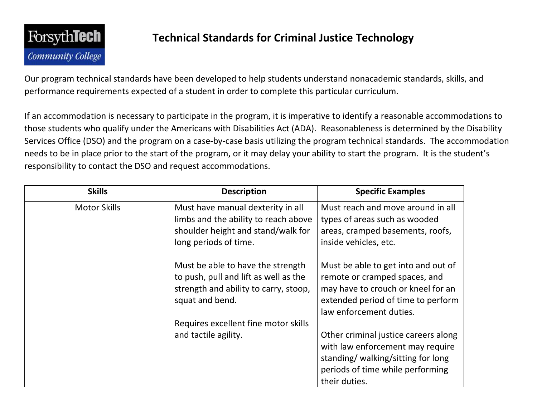

## **Technical Standards for Criminal Justice Technology**

Our program technical standards have been developed to help students understand nonacademic standards, skills, and performance requirements expected of a student in order to complete this particular curriculum.

If an accommodation is necessary to participate in the program, it is imperative to identify a reasonable accommodations to those students who qualify under the Americans with Disabilities Act (ADA). Reasonableness is determined by the Disability Services Office (DSO) and the program on a case-by-case basis utilizing the program technical standards. The accommodation needs to be in place prior to the start of the program, or it may delay your ability to start the program. It is the student's responsibility to contact the DSO and request accommodations.

| <b>Skills</b>       | <b>Description</b>                                                                                                                       | <b>Specific Examples</b>                                                                                                                                                    |
|---------------------|------------------------------------------------------------------------------------------------------------------------------------------|-----------------------------------------------------------------------------------------------------------------------------------------------------------------------------|
| <b>Motor Skills</b> | Must have manual dexterity in all<br>limbs and the ability to reach above<br>shoulder height and stand/walk for<br>long periods of time. | Must reach and move around in all<br>types of areas such as wooded<br>areas, cramped basements, roofs,<br>inside vehicles, etc.                                             |
|                     | Must be able to have the strength<br>to push, pull and lift as well as the<br>strength and ability to carry, stoop,<br>squat and bend.   | Must be able to get into and out of<br>remote or cramped spaces, and<br>may have to crouch or kneel for an<br>extended period of time to perform<br>law enforcement duties. |
|                     | Requires excellent fine motor skills                                                                                                     |                                                                                                                                                                             |
|                     | and tactile agility.                                                                                                                     | Other criminal justice careers along<br>with law enforcement may require<br>standing/walking/sitting for long<br>periods of time while performing<br>their duties.          |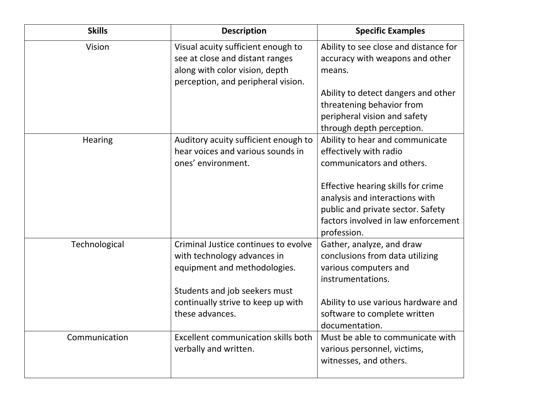| <b>Skills</b> | <b>Description</b>                                                                                                                            | <b>Specific Examples</b>                                                                                                                                        |
|---------------|-----------------------------------------------------------------------------------------------------------------------------------------------|-----------------------------------------------------------------------------------------------------------------------------------------------------------------|
| Vision        | Visual acuity sufficient enough to<br>see at close and distant ranges<br>along with color vision, depth<br>perception, and peripheral vision. | Ability to see close and distance for<br>accuracy with weapons and other<br>means.                                                                              |
|               |                                                                                                                                               | Ability to detect dangers and other<br>threatening behavior from<br>peripheral vision and safety<br>through depth perception.                                   |
| Hearing       | Auditory acuity sufficient enough to<br>hear voices and various sounds in<br>ones' environment.                                               | Ability to hear and communicate<br>effectively with radio<br>communicators and others.                                                                          |
|               |                                                                                                                                               | Effective hearing skills for crime<br>analysis and interactions with<br>public and private sector. Safety<br>factors involved in law enforcement<br>profession. |
| Technological | Criminal Justice continues to evolve<br>with technology advances in<br>equipment and methodologies.<br>Students and job seekers must          | Gather, analyze, and draw<br>conclusions from data utilizing<br>various computers and<br>instrumentations.                                                      |
|               | continually strive to keep up with<br>these advances.                                                                                         | Ability to use various hardware and<br>software to complete written<br>documentation.                                                                           |
| Communication | <b>Excellent communication skills both</b><br>verbally and written.                                                                           | Must be able to communicate with<br>various personnel, victims,<br>witnesses, and others.                                                                       |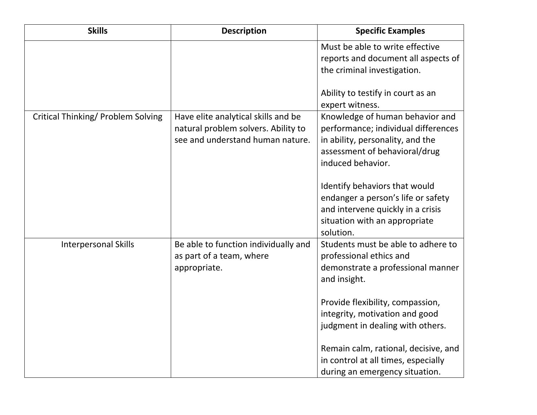| <b>Skills</b>                             | <b>Description</b>                                                                                             | <b>Specific Examples</b>                                                                                                                                                                                                                                                                                      |
|-------------------------------------------|----------------------------------------------------------------------------------------------------------------|---------------------------------------------------------------------------------------------------------------------------------------------------------------------------------------------------------------------------------------------------------------------------------------------------------------|
|                                           |                                                                                                                | Must be able to write effective<br>reports and document all aspects of<br>the criminal investigation.                                                                                                                                                                                                         |
|                                           |                                                                                                                | Ability to testify in court as an<br>expert witness.                                                                                                                                                                                                                                                          |
| <b>Critical Thinking/ Problem Solving</b> | Have elite analytical skills and be<br>natural problem solvers. Ability to<br>see and understand human nature. | Knowledge of human behavior and<br>performance; individual differences<br>in ability, personality, and the<br>assessment of behavioral/drug<br>induced behavior.<br>Identify behaviors that would<br>endanger a person's life or safety<br>and intervene quickly in a crisis<br>situation with an appropriate |
| <b>Interpersonal Skills</b>               | Be able to function individually and                                                                           | solution.<br>Students must be able to adhere to                                                                                                                                                                                                                                                               |
|                                           | as part of a team, where<br>appropriate.                                                                       | professional ethics and<br>demonstrate a professional manner<br>and insight.                                                                                                                                                                                                                                  |
|                                           |                                                                                                                | Provide flexibility, compassion,<br>integrity, motivation and good<br>judgment in dealing with others.                                                                                                                                                                                                        |
|                                           |                                                                                                                | Remain calm, rational, decisive, and<br>in control at all times, especially<br>during an emergency situation.                                                                                                                                                                                                 |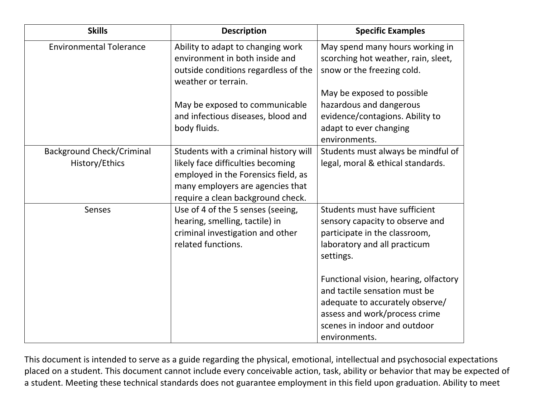| <b>Skills</b>                                      | <b>Description</b>                                                                                                                                                                         | <b>Specific Examples</b>                                                                                                                                                                                                                                                                                                                      |
|----------------------------------------------------|--------------------------------------------------------------------------------------------------------------------------------------------------------------------------------------------|-----------------------------------------------------------------------------------------------------------------------------------------------------------------------------------------------------------------------------------------------------------------------------------------------------------------------------------------------|
| <b>Environmental Tolerance</b>                     | Ability to adapt to changing work<br>environment in both inside and<br>outside conditions regardless of the<br>weather or terrain.                                                         | May spend many hours working in<br>scorching hot weather, rain, sleet,<br>snow or the freezing cold.                                                                                                                                                                                                                                          |
|                                                    | May be exposed to communicable<br>and infectious diseases, blood and<br>body fluids.                                                                                                       | May be exposed to possible<br>hazardous and dangerous<br>evidence/contagions. Ability to<br>adapt to ever changing<br>environments.                                                                                                                                                                                                           |
| <b>Background Check/Criminal</b><br>History/Ethics | Students with a criminal history will<br>likely face difficulties becoming<br>employed in the Forensics field, as<br>many employers are agencies that<br>require a clean background check. | Students must always be mindful of<br>legal, moral & ethical standards.                                                                                                                                                                                                                                                                       |
| Senses                                             | Use of 4 of the 5 senses (seeing,<br>hearing, smelling, tactile) in<br>criminal investigation and other<br>related functions.                                                              | Students must have sufficient<br>sensory capacity to observe and<br>participate in the classroom,<br>laboratory and all practicum<br>settings.<br>Functional vision, hearing, olfactory<br>and tactile sensation must be<br>adequate to accurately observe/<br>assess and work/process crime<br>scenes in indoor and outdoor<br>environments. |

This document is intended to serve as a guide regarding the physical, emotional, intellectual and psychosocial expectations placed on a student. This document cannot include every conceivable action, task, ability or behavior that may be expected of a student. Meeting these technical standards does not guarantee employment in this field upon graduation. Ability to meet